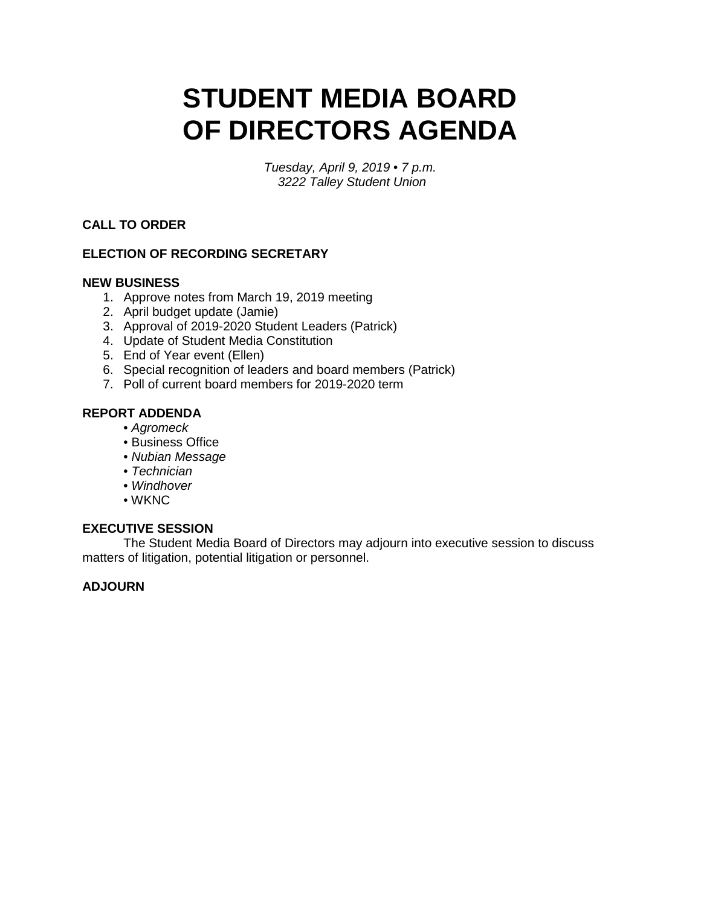# **STUDENT MEDIA BOARD OF DIRECTORS AGENDA**

 *Tuesday, April 9, 2019 • 7 p.m. 3222 Talley Student Union* 

## **CALL TO ORDER**

## **ELECTION OF RECORDING SECRETARY**

### **NEW BUSINESS**

- 1. Approve notes from March 19, 2019 meeting
- 2. April budget update (Jamie)
- 3. Approval of 2019-2020 Student Leaders (Patrick)
- 4. Update of Student Media Constitution
- 5. End of Year event (Ellen)
- 6. Special recognition of leaders and board members (Patrick)
- 7. Poll of current board members for 2019-2020 term

### **REPORT ADDENDA**

- *Agromeck*
- Business Office
- *Nubian Message*
- *Technician*
- *Windhover*
- WKNC

#### **EXECUTIVE SESSION**

 The Student Media Board of Directors may adjourn into executive session to discuss matters of litigation, potential litigation or personnel.

## **ADJOURN**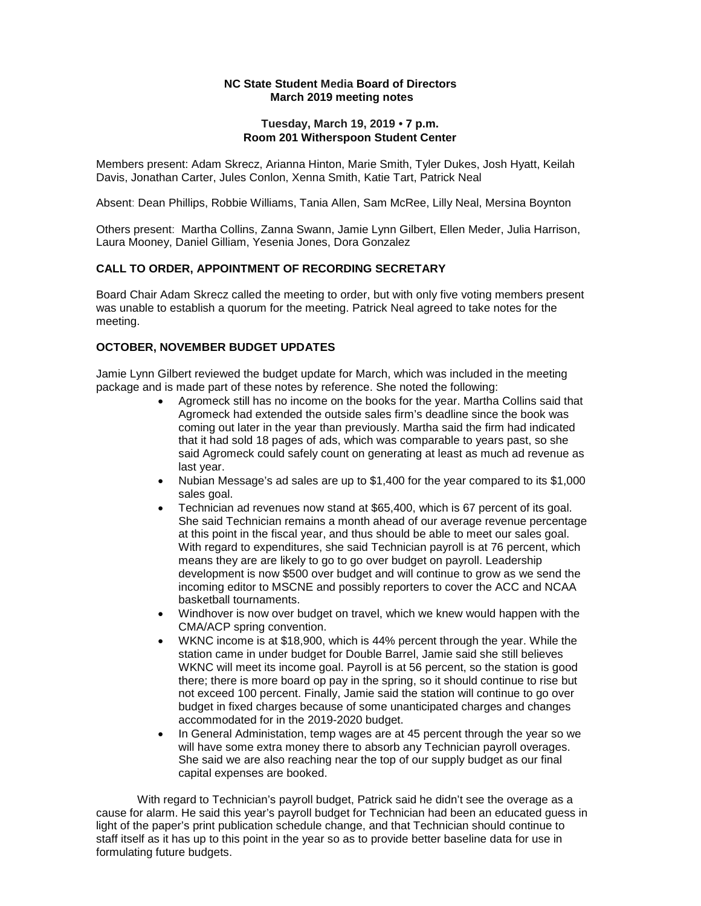#### **NC State Student Media Board of Directors** March 2019 meeting notes

# Tuesday, March 19, 2019 • 7 p.m. **NC State Student Media Board of Directors<br>March 2019 meeting notes<br>Tuesday, March 19, 2019 • 7 p.m.<br>Room 201 Witherspoon Student Center**

Members present: Adam Skrecz, Arianna Hinton, Marie Smith, Tyler Dukes, Josh Hyatt, Keilah Davis, Jonathan Carter, Jules Conlon, Xenna Smith, Katie Tart, Patrick Neal

Absent: Dean Phillips, Robbie Williams, Tania Allen, Sam McRee, Lilly Neal, Mersina Boynton

Others present: Martha Collins, Zanna Swann, Jamie Lynn Gilbert, Ellen Meder, Julia Harrison, Laura Mooney, Daniel Gilliam, Yesenia Jones, Dora Gonzalez

#### **CALL TO ORDER, APPOINTMENT OF RECORDING SECRETARY**

Board Chair Adam Skrecz called the meeting to order, but with only five voting members present was unable to establish a quorum for the meeting. Patrick Neal agreed to take notes for the meeting.

#### **OCTOBER, NOVEMBER BUDGET UPDATES**

Jamie Lynn Gilbert reviewed the budget update for March, which was included in the meeting package and is made part of these notes by reference. She noted the following:

- that it had sold 18 pages of ads, which was comparable to years past, so she •Agromeck still has no income on the books for the year. Martha Collins said that Agromeck had extended the outside sales firm's deadline since the book was coming out later in the year than previously. Martha said the firm had indicated said Agromeck could safely count on generating at least as much ad revenue as last year.
- •Nubian Message's ad sales are up to \$1,400 for the year compared to its \$1,000 sales goal.
- incoming editor to MSCNE and possibly reporters to cover the ACC and NCAA •Technician ad revenues now stand at \$65,400, which is 67 percent of its goal. She said Technician remains a month ahead of our average revenue percentage at this point in the fiscal year, and thus should be able to meet our sales goal. With regard to expenditures, she said Technician payroll is at 76 percent, which means they are are likely to go to go over budget on payroll. Leadership development is now \$500 over budget and will continue to grow as we send the basketball tournaments.
- •Windhover is now over budget on travel, which we knew would happen with the CMA/ACP spring convention.
- •WKNC income is at \$18,900, which is 44% percent through the year. While the station came in under budget for Double Barrel, Jamie said she still believes WKNC will meet its income goal. Payroll is at 56 percent, so the station is good there; there is more board op pay in the spring, so it should continue to rise but not exceed 100 percent. Finally, Jamie said the station will continue to go over budget in fixed charges because of some unanticipated charges and changes accommodated for in the 2019-2020 budget.
- In General Administation, temp wages are at 45 percent through the year so we She said we are also reaching near the top of our supply budget as our final will have some extra money there to absorb any Technician payroll overages. capital expenses are booked.

 cause for alarm. He said this year's payroll budget for Technician had been an educated guess in light of the paper's print publication schedule change, and that Technician should continue to With regard to Technician's payroll budget, Patrick said he didn't see the overage as a staff itself as it has up to this point in the year so as to provide better baseline data for use in formulating future budgets.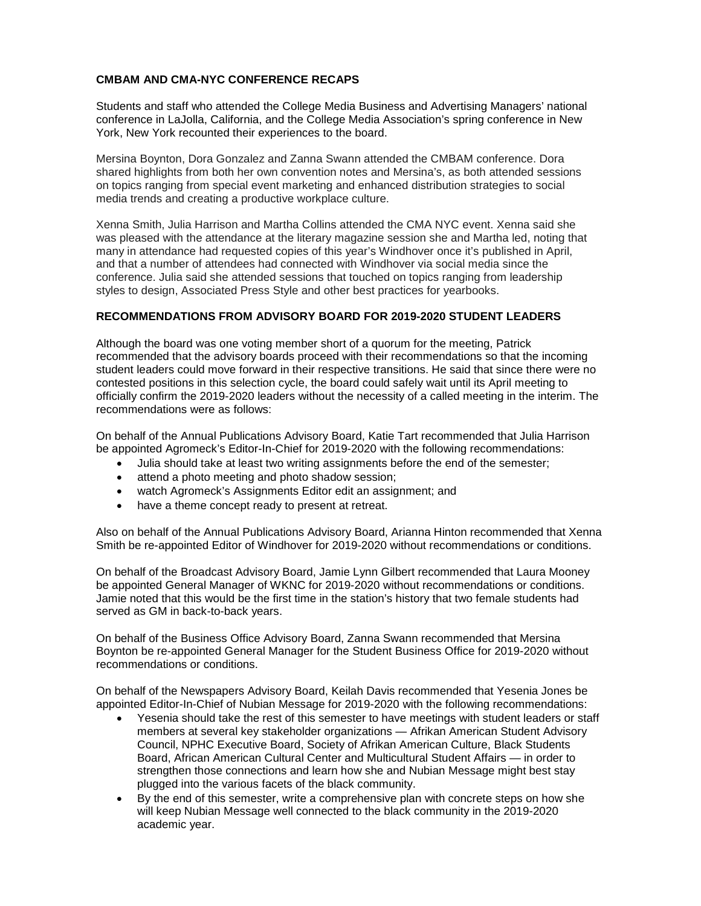#### **CMBAM AND CMA-NYC CONFERENCE RECAPS**

York, New York recounted their experiences to the board. Students and staff who attended the College Media Business and Advertising Managers' national conference in LaJolla, California, and the College Media Association's spring conference in New

 on topics ranging from special event marketing and enhanced distribution strategies to social Mersina Boynton, Dora Gonzalez and Zanna Swann attended the CMBAM conference. Dora shared highlights from both her own convention notes and Mersina's, as both attended sessions media trends and creating a productive workplace culture.

 many in attendance had requested copies of this year's Windhover once it's published in April, Xenna Smith, Julia Harrison and Martha Collins attended the CMA NYC event. Xenna said she was pleased with the attendance at the literary magazine session she and Martha led, noting that and that a number of attendees had connected with Windhover via social media since the conference. Julia said she attended sessions that touched on topics ranging from leadership styles to design, Associated Press Style and other best practices for yearbooks.

#### **RECOMMENDATIONS FROM ADVISORY BOARD FOR 2019-2020 STUDENT LEADERS**

 Although the board was one voting member short of a quorum for the meeting, Patrick contested positions in this selection cycle, the board could safely wait until its April meeting to recommended that the advisory boards proceed with their recommendations so that the incoming student leaders could move forward in their respective transitions. He said that since there were no officially confirm the 2019-2020 leaders without the necessity of a called meeting in the interim. The recommendations were as follows:

 On behalf of the Annual Publications Advisory Board, Katie Tart recommended that Julia Harrison be appointed Agromeck's Editor-In-Chief for 2019-2020 with the following recommendations:

- $\bullet$ •Julia should take at least two writing assignments before the end of the semester;
- $\bullet$ attend a photo meeting and photo shadow session;
- •watch Agromeck's Assignments Editor edit an assignment; and
- have a theme concept ready to present at retreat.

Also on behalf of the Annual Publications Advisory Board, Arianna Hinton recommended that Xenna Smith be re-appointed Editor of Windhover for 2019-2020 without recommendations or conditions.

On behalf of the Broadcast Advisory Board, Jamie Lynn Gilbert recommended that Laura Mooney be appointed General Manager of WKNC for 2019-2020 without recommendations or conditions. Jamie noted that this would be the first time in the station's history that two female students had served as GM in back-to-back years.

On behalf of the Business Office Advisory Board, Zanna Swann recommended that Mersina Boynton be re-appointed General Manager for the Student Business Office for 2019-2020 without recommendations or conditions.

 On behalf of the Newspapers Advisory Board, Keilah Davis recommended that Yesenia Jones be appointed Editor-In-Chief of Nubian Message for 2019-2020 with the following recommendations:

- members at several key stakeholder organizations Afrikan American Student Advisory •Yesenia should take the rest of this semester to have meetings with student leaders or staff Council, NPHC Executive Board, Society of Afrikan American Culture, Black Students Board, African American Cultural Center and Multicultural Student Affairs — in order to strengthen those connections and learn how she and Nubian Message might best stay plugged into the various facets of the black community.
- •By the end of this semester, write a comprehensive plan with concrete steps on how she will keep Nubian Message well connected to the black community in the 2019-2020 academic year.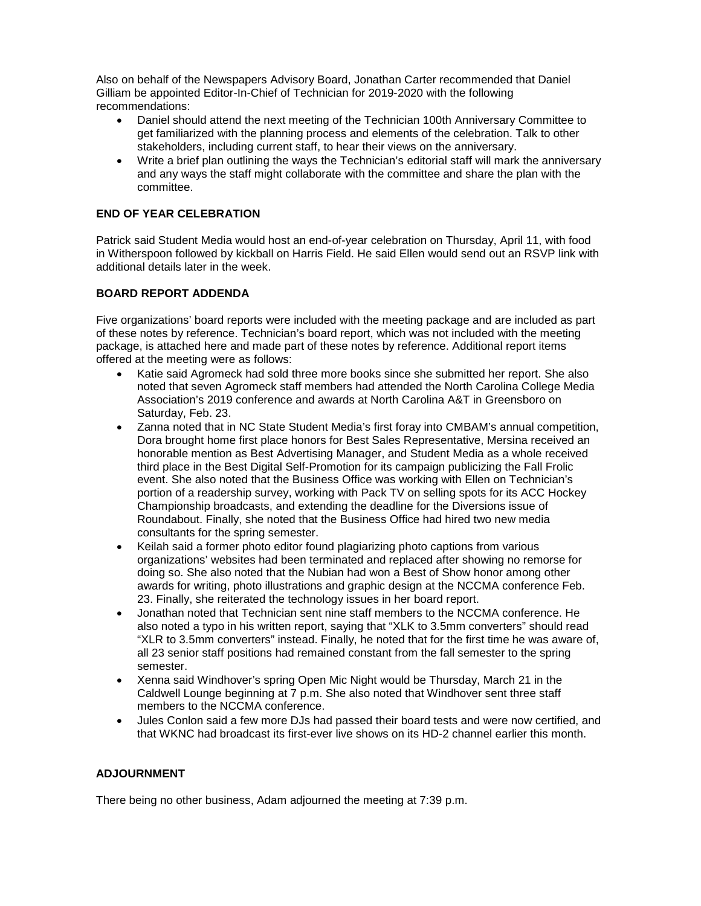Also on behalf of the Newspapers Advisory Board, Jonathan Carter recommended that Daniel Gilliam be appointed Editor-In-Chief of Technician for 2019-2020 with the following recommendations:

- •Daniel should attend the next meeting of the Technician 100th Anniversary Committee to get familiarized with the planning process and elements of the celebration. Talk to other stakeholders, including current staff, to hear their views on the anniversary.
- •Write a brief plan outlining the ways the Technician's editorial staff will mark the anniversary and any ways the staff might collaborate with the committee and share the plan with the committee.

#### **END OF YEAR CELEBRATION**

Patrick said Student Media would host an end-of-year celebration on Thursday, April 11, with food in Witherspoon followed by kickball on Harris Field. He said Ellen would send out an RSVP link with additional details later in the week.

#### **BOARD REPORT ADDENDA**

Five organizations' board reports were included with the meeting package and are included as part of these notes by reference. Technician's board report, which was not included with the meeting package, is attached here and made part of these notes by reference. Additional report items offered at the meeting were as follows:

- •Katie said Agromeck had sold three more books since she submitted her report. She also noted that seven Agromeck staff members had attended the North Carolina College Media Association's 2019 conference and awards at North Carolina A&T in Greensboro on Saturday, Feb. 23.
- $\bullet$ •Zanna noted that in NC State Student Media's first foray into CMBAM's annual competition, Dora brought home first place honors for Best Sales Representative, Mersina received an honorable mention as Best Advertising Manager, and Student Media as a whole received third place in the Best Digital Self-Promotion for its campaign publicizing the Fall Frolic event. She also noted that the Business Office was working with Ellen on Technician's portion of a readership survey, working with Pack TV on selling spots for its ACC Hockey Championship broadcasts, and extending the deadline for the Diversions issue of Roundabout. Finally, she noted that the Business Office had hired two new media consultants for the spring semester.
- •Keilah said a former photo editor found plagiarizing photo captions from various organizations' websites had been terminated and replaced after showing no remorse for doing so. She also noted that the Nubian had won a Best of Show honor among other awards for writing, photo illustrations and graphic design at the NCCMA conference Feb. 23. Finally, she reiterated the technology issues in her board report.
- •Jonathan noted that Technician sent nine staff members to the NCCMA conference. He also noted a typo in his written report, saying that "XLK to 3.5mm converters" should read "XLR to 3.5mm converters" instead. Finally, he noted that for the first time he was aware of, all 23 senior staff positions had remained constant from the fall semester to the spring semester.
- •Xenna said Windhover's spring Open Mic Night would be Thursday, March 21 in the  $\bullet$ Caldwell Lounge beginning at 7 p.m. She also noted that Windhover sent three staff members to the NCCMA conference.
- •Jules Conlon said a few more DJs had passed their board tests and were now certified, and that WKNC had broadcast its first-ever live shows on its HD-2 channel earlier this month.

#### **ADJOURNMENT**

There being no other business, Adam adjourned the meeting at 7:39 p.m.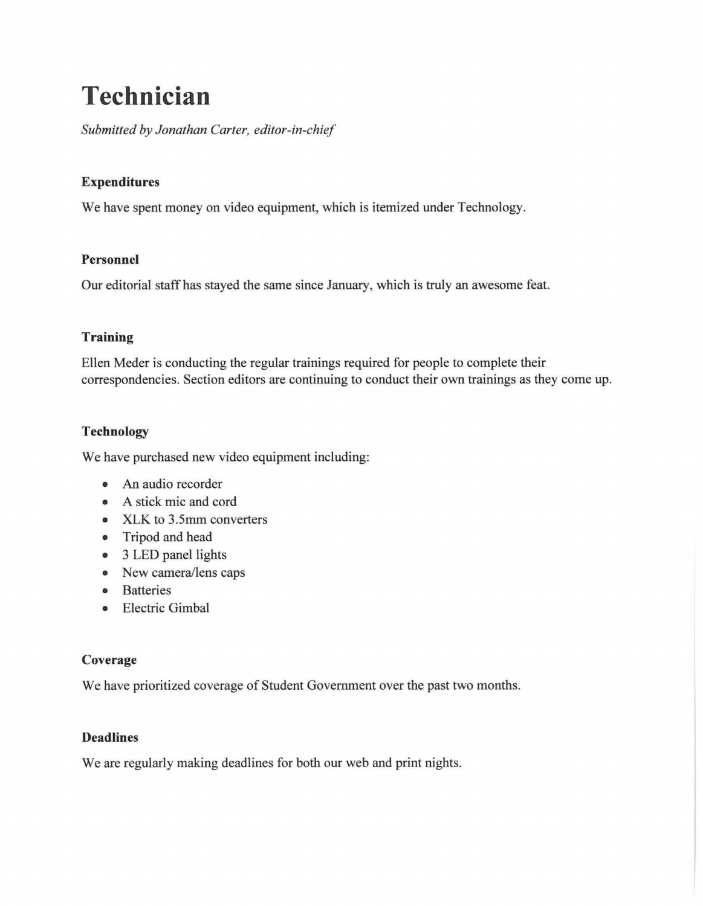# **Technician**

*Submitted by Jonathan Carter, editor-in-chief* 

## **Expenditures**

We have spent money on video equipment, which is itemized under Technology.

## **Personnel**

Our editorial staff has stayed the same since January, which is truly an awesome feat.

## **Training**

Ellen Meder is conducting the regular trainings required for people to complete their correspondencies. Section editors are continuing to conduct their own trainings as they come up.

## **Technology**

We have purchased new video equipment including:

- An audio recorder
- A stick mic and cord
- XLK to 3.5mm converters
- Tripod and head
- 3 LED panel lights
- New camera/lens caps
- Batteries
- Electric Gimbal

## **Coverage**

We have prioritized coverage of Student Government over the past two months.

## **Deadlines**

We are regularly making deadlines for both our web and print nights.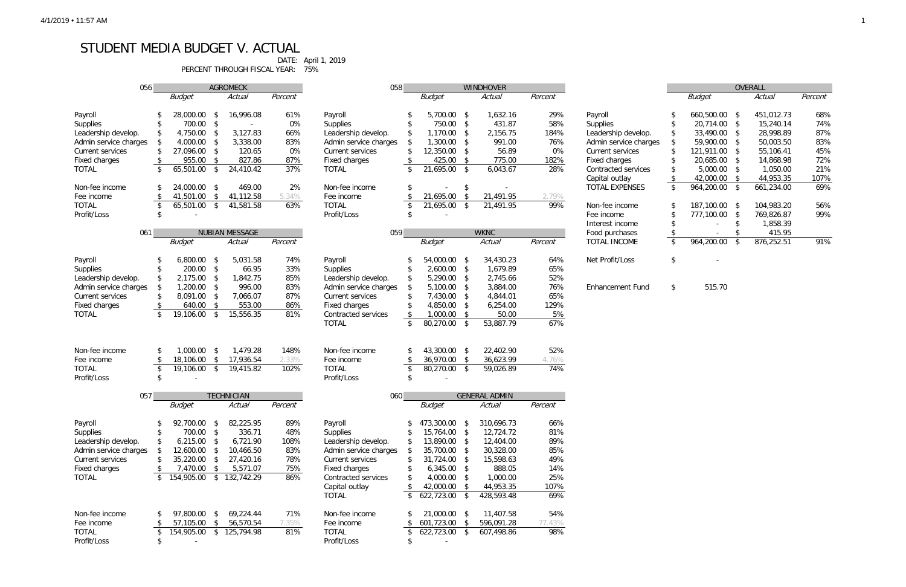## STUDENT MEDIA BUDGET V. ACTUAL

PERCENT THROUGH FISCAL YEAR: 75%

DATE: April 1, 2019

| OVERALL |            |    |            |         |  |  |  |  |
|---------|------------|----|------------|---------|--|--|--|--|
|         | Budget     |    | Actual     | Percent |  |  |  |  |
|         |            |    |            |         |  |  |  |  |
| \$      | 660,500.00 | \$ | 451,012.73 | 68%     |  |  |  |  |
| \$      | 20,714.00  | \$ | 15,240.14  | 74%     |  |  |  |  |
| \$      | 33,490.00  | \$ | 28,998.89  | 87%     |  |  |  |  |
| \$      | 59,900.00  | \$ | 50,003.50  | 83%     |  |  |  |  |
| \$      | 121,911.00 | \$ | 55,106.41  | 45%     |  |  |  |  |
| \$      | 20,685.00  | \$ | 14,868.98  | 72%     |  |  |  |  |
| \$      | 5,000.00   | \$ | 1,050.00   | 21%     |  |  |  |  |
| \$      | 42,000.00  | \$ | 44,953.35  | 107%    |  |  |  |  |
| \$      | 964,200.00 | \$ | 661,234.00 | 69%     |  |  |  |  |
|         |            |    |            |         |  |  |  |  |
| \$      | 187,100.00 | \$ | 104,983.20 | 56%     |  |  |  |  |
| \$      | 777,100.00 | \$ | 769.826.87 | 99%     |  |  |  |  |
| \$      |            | \$ | 1.858.39   |         |  |  |  |  |
| \$      |            | \$ | 415.95     |         |  |  |  |  |
| \$      | 964,200.00 | \$ | 876.252.51 | 91%     |  |  |  |  |
|         |            |    |            |         |  |  |  |  |

| 056                   |                         |                          |                         | <b>AGROMECK</b>   |         | 058                     |     |                          |              | <b>WINDHOVER</b>     |         |                         |                       |                         | OVERALL |
|-----------------------|-------------------------|--------------------------|-------------------------|-------------------|---------|-------------------------|-----|--------------------------|--------------|----------------------|---------|-------------------------|-----------------------|-------------------------|---------|
|                       |                         | <b>Budget</b>            |                         | Actual            | Percent |                         |     | <b>Budget</b>            |              | Actual               | Percent |                         | <b>Budget</b>         |                         | Actual  |
|                       |                         |                          |                         |                   |         |                         |     |                          |              |                      |         |                         |                       |                         |         |
| Payroll               | S                       | 28,000.00                | \$                      | 16,996.08         | 61%     | Payroll                 |     | 5,700.00 \$              |              | 1,632.16             | 29%     | Payroll                 | 660,500.00 \$         |                         | 451,01  |
| Supplies              | \$                      | 700.00                   | -\$                     |                   | 0%      | Supplies                |     | 750.00 \$                |              | 431.87               | 58%     | Supplies                | 20,714.00 \$          |                         | 15,24   |
| Leadership develop.   | \$                      | 4,750.00                 | -\$                     | 3,127.83          | 66%     | Leadership develop.     | \$  | 1,170.00                 | - \$         | 2,156.75             | 184%    | Leadership develop.     | \$<br>33,490.00 \$    |                         | 28,99   |
| Admin service charges |                         | 4,000.00                 |                         | 3,338.00          | 83%     |                         | \$. | 1,300.00                 | $\sqrt{2}$   | 991.00               | 76%     | Admin service charges   | \$<br>59,900.00 \$    |                         | 50,00   |
|                       |                         |                          | -\$                     |                   |         | Admin service charges   |     |                          |              |                      |         |                         |                       |                         |         |
| Current services      | \$                      | 27,096.00                | $\sqrt{3}$              | 120.65            | 0%      | <b>Current services</b> | \$  | 12,350.00                | $\sqrt{2}$   | 56.89                | 0%      | Current services        | 121,911.00 \$         |                         | 55,10   |
| Fixed charges         | \$                      | 955.00                   | $\sqrt{3}$              | 827.86            | 87%     | Fixed charges           | \$  | 425.00                   | \$           | 775.00               | 182%    | Fixed charges           | 20,685.00 \$          |                         | 14,86   |
| <b>TOTAL</b>          | \$                      | 65,501.00                | $\sqrt[6]{\frac{1}{2}}$ | 24,410.42         | 37%     | <b>TOTAL</b>            | \$  | 21,695.00 \$             |              | 6,043.67             | 28%     | Contracted services     | $5,000.00$ \$         |                         | 1,05    |
|                       |                         |                          |                         |                   |         |                         |     |                          |              |                      |         | Capital outlay          | 42,000.00 \$          |                         | 44,95   |
| Non-fee income        | \$                      | 24,000.00 \$             |                         | 469.00            | 2%      | Non-fee income          | \$  |                          | \$           |                      |         | <b>TOTAL EXPENSES</b>   | \$<br>$964,200.00$ \$ |                         | 661,23  |
| Fee income            |                         |                          |                         |                   |         |                         |     |                          |              |                      |         |                         |                       |                         |         |
|                       | $\sqrt[6]{2}$           | 41,501.00                | \$                      | 41,112.58         | 5.34%   | Fee income              |     | 21,695.00                | -\$          | 21,491.95            | 2.79%   |                         |                       |                         |         |
| <b>TOTAL</b>          | \$                      | 65,501.00                | $\sqrt{5}$              | 41,581.58         | 63%     | <b>TOTAL</b>            | \$  | 21,695.00                | \$           | 21,491.95            | 99%     | Non-fee income          | 187,100.00 \$         |                         | 104,98  |
| Profit/Loss           | \$                      |                          |                         |                   |         | Profit/Loss             | \$  |                          |              |                      |         | Fee income              | 777,100.00 \$         |                         | 769,82  |
|                       |                         |                          |                         |                   |         |                         |     |                          |              |                      |         | Interest income         |                       | \$                      | 1,85    |
| 061                   |                         |                          |                         | NUBIAN MESSAGE    |         | 059                     |     |                          |              | <b>WKNC</b>          |         | Food purchases          |                       | \$                      | 41      |
|                       |                         | <b>Budget</b>            |                         | Actual            | Percent |                         |     | <b>Budget</b>            |              | Actual               | Percent | <b>TOTAL INCOME</b>     | \$<br>964,200.00      | $\sqrt[6]{\frac{1}{2}}$ | 876,25  |
|                       |                         |                          |                         |                   |         |                         |     |                          |              |                      |         |                         |                       |                         |         |
|                       |                         |                          |                         |                   |         |                         |     |                          |              |                      |         |                         |                       |                         |         |
| Payroll               | \$                      | 6,800.00                 | -\$                     | 5,031.58          | 74%     | Payroll                 |     | 54,000.00                | - \$         | 34,430.23            | 64%     | Net Profit/Loss         | \$                    |                         |         |
| Supplies              | \$                      | 200.00                   | \$                      | 66.95             | 33%     | Supplies                |     | $2,600.00$ \$            |              | 1,679.89             | 65%     |                         |                       |                         |         |
| Leadership develop.   | \$                      | 2,175.00                 | -\$                     | 1,842.75          | 85%     | Leadership develop.     |     | 5,290.00 \$              |              | 2,745.66             | 52%     |                         |                       |                         |         |
| Admin service charges | \$                      | $1,200.00$ \$            |                         | 996.00            | 83%     | Admin service charges   | \$  | 5,100.00                 | $\mathsf{S}$ | 3,884.00             | 76%     | <b>Enhancement Fund</b> | \$<br>515.70          |                         |         |
| Current services      | \$                      | 8,091.00                 | $\sqrt{2}$              | 7,066.07          | 87%     | <b>Current services</b> | \$  | 7,430.00 \$              |              | 4,844.01             | 65%     |                         |                       |                         |         |
|                       |                         |                          |                         |                   |         |                         |     |                          |              |                      |         |                         |                       |                         |         |
| Fixed charges         |                         | 640.00                   | $\sqrt{3}$              | 553.00            | 86%     | Fixed charges           |     | 4,850.00 \$              |              | 6,254.00             | 129%    |                         |                       |                         |         |
| <b>TOTAL</b>          | \$                      | 19,106.00                | $\sqrt{3}$              | 15,556.35         | 81%     | Contracted services     | \$  | $1,000.00$ \$            |              | 50.00                | 5%      |                         |                       |                         |         |
|                       |                         |                          |                         |                   |         | <b>TOTAL</b>            | \$  | 80,270.00 \$             |              | 53,887.79            | 67%     |                         |                       |                         |         |
|                       |                         |                          |                         |                   |         |                         |     |                          |              |                      |         |                         |                       |                         |         |
|                       |                         |                          |                         |                   |         |                         |     |                          |              |                      |         |                         |                       |                         |         |
| Non-fee income        | \$                      | 1,000.00                 | \$                      | 1,479.28          | 148%    | Non-fee income          |     | 43,300.00 \$             |              | 22,402.90            | 52%     |                         |                       |                         |         |
|                       | \$                      |                          |                         |                   |         |                         |     |                          |              |                      |         |                         |                       |                         |         |
| Fee income            |                         | 18,106.00                | $\sqrt{2}$              | 17,936.54         | 2.33%   | Fee income              | \$  | 36,970.00                | \$           | 36,623.99            | 4.76%   |                         |                       |                         |         |
| <b>TOTAL</b>          | \$                      | 19,106.00                | $\sqrt{3}$              | 19,415.82         | 102%    | <b>TOTAL</b>            | \$  | 80,270.00                | $\sqrt{3}$   | 59,026.89            | 74%     |                         |                       |                         |         |
| Profit/Loss           | \$                      |                          |                         |                   |         | Profit/Loss             | \$. |                          |              |                      |         |                         |                       |                         |         |
|                       |                         |                          |                         |                   |         |                         |     |                          |              |                      |         |                         |                       |                         |         |
| 057                   |                         |                          |                         | <b>TECHNICIAN</b> |         | 060                     |     |                          |              | <b>GENERAL ADMIN</b> |         |                         |                       |                         |         |
|                       |                         | <b>Budget</b>            |                         | Actual            | Percent |                         |     | <b>Budget</b>            |              | Actual               | Percent |                         |                       |                         |         |
|                       |                         |                          |                         |                   |         |                         |     |                          |              |                      |         |                         |                       |                         |         |
| Payroll               | \$                      | 92,700.00 \$             |                         | 82,225.95         | 89%     | Payroll                 |     | 473,300.00 \$            |              | 310,696.73           | 66%     |                         |                       |                         |         |
| Supplies              | \$                      | 700.00 \$                |                         | 336.71            | 48%     | Supplies                |     | 15,764.00 \$             |              | 12,724.72            | 81%     |                         |                       |                         |         |
|                       |                         |                          |                         |                   |         |                         |     |                          |              |                      |         |                         |                       |                         |         |
| Leadership develop.   | \$                      | 6,215.00                 | \$                      | 6,721.90          | 108%    | Leadership develop.     | \$  | 13,890.00 \$             |              | 12,404.00            | 89%     |                         |                       |                         |         |
| Admin service charges | -S                      | 12,600.00                | \$                      | 10,466.50         | 83%     | Admin service charges   | \$  | 35,700.00 \$             |              | 30,328.00            | 85%     |                         |                       |                         |         |
| Current services      | \$                      | 35,220.00                | \$                      | 27,420.16         | 78%     | Current services        | \$  | 31,724.00                | - \$         | 15,598.63            | 49%     |                         |                       |                         |         |
| Fixed charges         | \$                      | 7,470.00                 | $\sqrt[6]{\frac{1}{2}}$ | 5,571.07          | 75%     | Fixed charges           | \$  | $6,345.00$ \$            |              | 888.05               | 14%     |                         |                       |                         |         |
| <b>TOTAL</b>          | $\sqrt[6]{\frac{1}{2}}$ | 154,905.00 \$ 132,742.29 |                         |                   | 86%     | Contracted services     |     | 4,000.00 \$              |              | 1,000.00             | 25%     |                         |                       |                         |         |
|                       |                         |                          |                         |                   |         | Capital outlay          | \$  | 42,000.00                | - \$         | 44,953.35            | 107%    |                         |                       |                         |         |
|                       |                         |                          |                         |                   |         |                         |     |                          |              |                      |         |                         |                       |                         |         |
|                       |                         |                          |                         |                   |         | <b>TOTAL</b>            | \$  | $622,723.00$ \$          |              | 428,593.48           | 69%     |                         |                       |                         |         |
|                       |                         |                          |                         |                   |         |                         |     |                          |              |                      |         |                         |                       |                         |         |
| Non-fee income        | \$                      | 97,800.00 \$             |                         | 69,224.44         | 71%     | Non-fee income          |     | 21,000.00 \$             |              | 11,407.58            | 54%     |                         |                       |                         |         |
| Fee income            | \$                      | 57,105.00                | $\sqrt[6]{\frac{1}{2}}$ | 56,570.54         | 7.35%   | Fee income              | \$  | 601,723.00               | -\$          | 596,091.28           | 77.43%  |                         |                       |                         |         |
| <b>TOTAL</b>          | \$                      | 154,905.00 \$ 125,794.98 |                         |                   | 81%     | <b>TOTAL</b>            | \$  | 622,723.00 \$            |              | 607,498.86           | 98%     |                         |                       |                         |         |
| Profit/Loss           | \$                      |                          |                         |                   |         | Profit/Loss             | \$  | $\overline{\phantom{a}}$ |              |                      |         |                         |                       |                         |         |
|                       |                         |                          |                         |                   |         |                         |     |                          |              |                      |         |                         |                       |                         |         |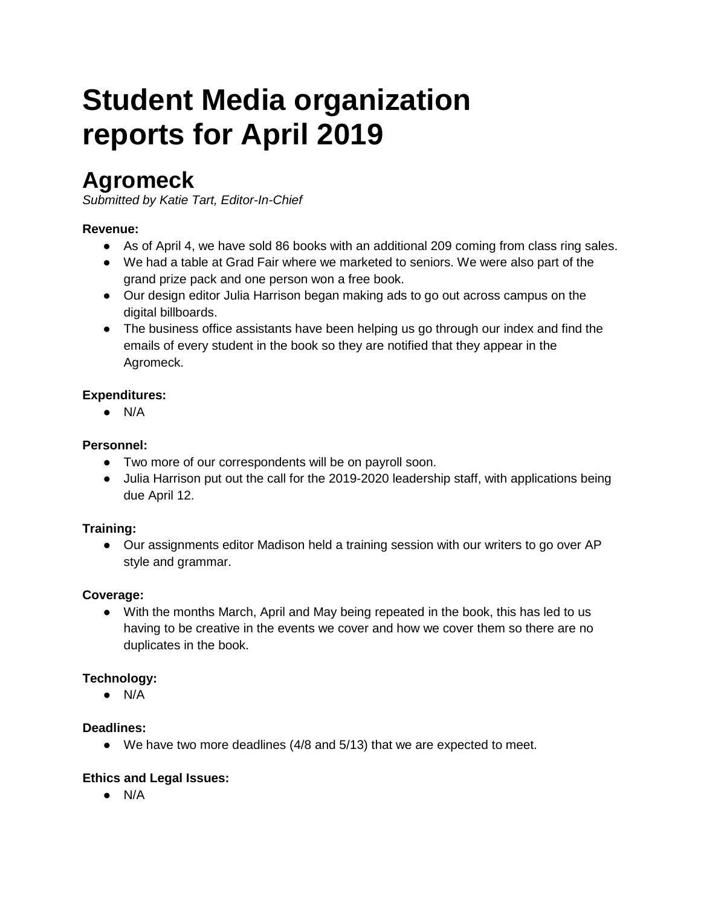# **reports for April 2019 Student Media organization**

# **Agromeck**

*Submitted by Katie Tart, Editor-In-Chief* 

## **Revenue:**

- As of April 4, we have sold 86 books with an additional 209 coming from class ring sales.
- We had a table at Grad Fair where we marketed to seniors. We were also part of the grand prize pack and one person won a free book.
- Our design editor Julia Harrison began making ads to go out across campus on the digital billboards.
- The business office assistants have been helping us go through our index and find the emails of every student in the book so they are notified that they appear in the Agromeck.

## **Expenditures:**

● N/A

## **Personnel:**

- ● Two more of our correspondents will be on payroll soon.
- Julia Harrison put out the call for the 2019-2020 leadership staff, with applications being due April 12.

## **Training:**

• Our assignments editor Madison held a training session with our writers to go over AP style and grammar.

## **Coverage:**

• With the months March, April and May being repeated in the book, this has led to us having to be creative in the events we cover and how we cover them so there are no duplicates in the book.

## **Technology:**

● N/A

## **Deadlines:**

● We have two more deadlines (4/8 and 5/13) that we are expected to meet.

## **Ethics and Legal Issues:**

● N/A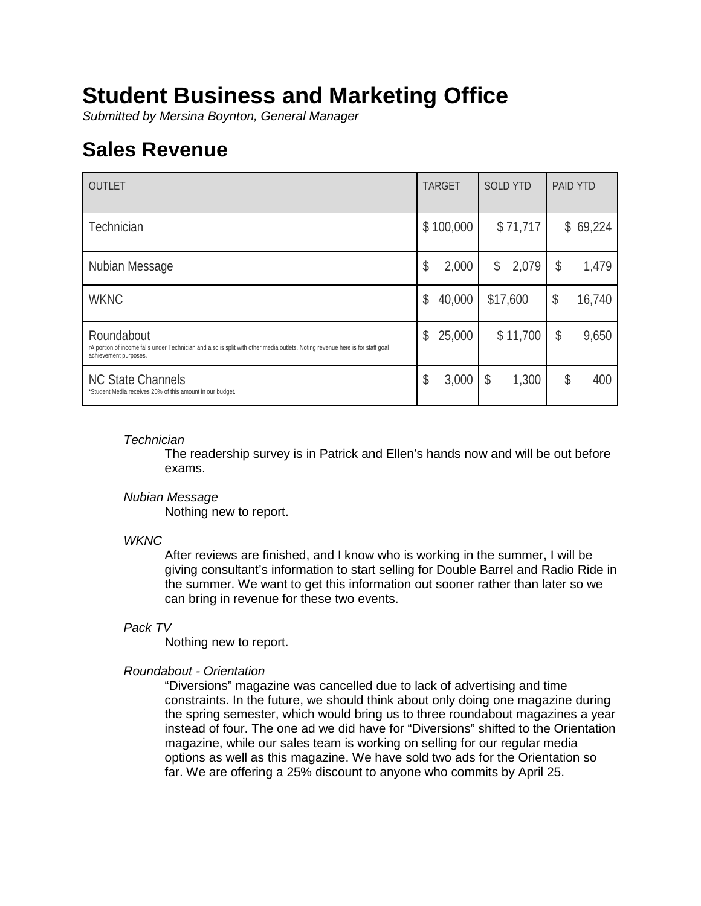# **Student Business and Marketing Office**

*Submitted by Mersina Boynton, General Manager* 

# **Sales Revenue**

| <b>OUTLET</b>                                                                                                                                                        | <b>TARGET</b> | <b>SOLD YTD</b> | <b>PAID YTD</b> |
|----------------------------------------------------------------------------------------------------------------------------------------------------------------------|---------------|-----------------|-----------------|
| Technician                                                                                                                                                           | \$100,000     | \$71,717        | \$69,224        |
| Nubian Message                                                                                                                                                       | \$<br>2,000   | 2,079<br>\$     | \$<br>1,479     |
| <b>WKNC</b>                                                                                                                                                          | \$<br>40,000  | \$17,600        | \$<br>16,740    |
| Roundabout<br>rA portion of income falls under Technician and also is split with other media outlets. Noting revenue here is for staff goal<br>achievement purposes. | 25,000<br>\$  | \$11,700        | \$<br>9,650     |
| <b>NC State Channels</b><br>*Student Media receives 20% of this amount in our budget.                                                                                | \$<br>3,000   | 1,300<br>\$     | \$<br>400       |

## *Technician*

 The readership survey is in Patrick and Ellen's hands now and will be out before exams.

## *Nubian Message*

Nothing new to report.

## *WKNC*

 the summer. We want to get this information out sooner rather than later so we After reviews are finished, and I know who is working in the summer, I will be giving consultant's information to start selling for Double Barrel and Radio Ride in can bring in revenue for these two events.

## *Pack TV*

Nothing new to report.

## *Roundabout - Orientation*

 instead of four. The one ad we did have for "Diversions" shifted to the Orientation magazine, while our sales team is working on selling for our regular media options as well as this magazine. We have sold two ads for the Orientation so "Diversions" magazine was cancelled due to lack of advertising and time constraints. In the future, we should think about only doing one magazine during the spring semester, which would bring us to three roundabout magazines a year far. We are offering a 25% discount to anyone who commits by April 25.